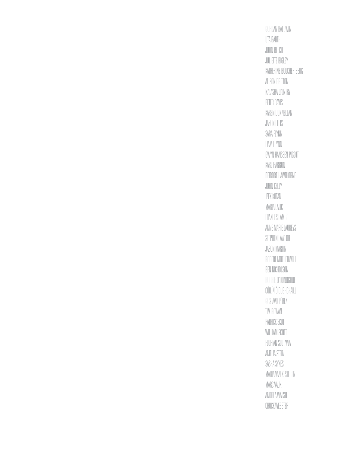Gordan Baldwin Uta Barth John Beech Juliette Bigley Katherine Boucher Beug Alison Britton Natasha Daintry Peter Davis Karen Donnellan Jason Ellis Sara Flynn Liam Flynn Gwyn Hanssen Pigott Karl Harron Deirdre Hawthorne John Kelly Ipek Kotan Maria Lalic FRANCES LAMBE Anne Marie Laureys STEPHEN LAWLOR Jason Martin Robert Motherwell Ben Nicholson Hughie O'Donoghue Cóilín Ó'Dubhghaill Gustavo Pérez Tim Rowan PATRICK SCOTT WILLIAM SCOTT Florian Slotawa Amelia Stein Sasha Sykes Maria Van Kesteren Marc Vaux Andrea Walsh ChuckWebster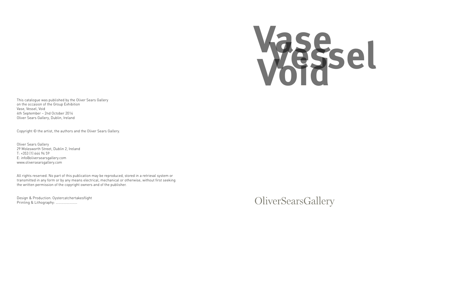# **Vessel Vase Void**

This catalogue was published by the Oliver Sears Gallery on the occasion of the Group Exhibition Vase, Vessel, Void 4th September – 2nd October 2014 Oliver Sears Gallery, Dublin, Ireland

Copyright © the artist, the authors and the Oliver Sears Gallery.

Oliver Sears Gallery 29 Molesworth Street, Dublin 2, Ireland T: +353 (1) 644 94 59 E: info@oliversearsgallery.com www.oliversearsgallery.com

All rights reserved. No part of this publication may be reproduced, stored in a retrieval system or transmitted in any form or by any means electrical, mechanical or otherwise, without first seeking the written permission of the copyright owners and of the publisher.

Design & Production: Oystercatchertakesflight Printing & Lithography: ……………………

OliverSearsGallery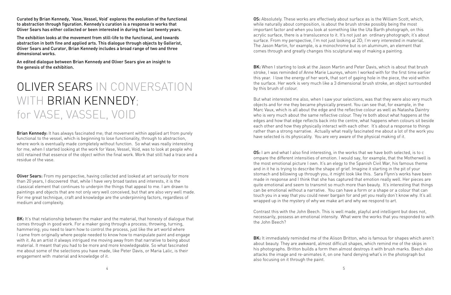Curated by Brian Kennedy, 'Vase, Vessel, Void' explores the evolution of the functional to abstraction through figuration. Kennedy's curation is a response to works that Oliver Sears has either collected or been interested in during the last twenty years.

The exhibition looks at the movement from still-life to the functional, and towards abstraction in both fine and applied arts. This dialogue through objects by Gallerist, Oliver Sears and Curator, Brian Kennedy includes a broad range of two and three dimensional works.

An edited dialogue between Brian Kennedy and Oliver Sears give an insight to the genesis of the exhibition.

# OLIVER SEARS IN CONVERSATION WITH BRIAN KENNEDY; for VASE, VASSEL, VOID

Brian Kennedy: It has always fascinated me; that movement within applied art from purely functional to the vessel, which is beginning to lose functionality, through to abstraction, where work is eventually made completely without function. So what was really interesting for me, when I started looking at the work for Vase, Vessel, Void, was to look at people who still retained that essence of the object within the final work. Work that still had a trace and a residue of the vase.

**Oliver Sears:** From my perspective, having collected and looked at art seriously for more than 20 years, I discovered that, while I have very broad tastes and interests, it is the classical element that continues to underpin the things that appeal to me. I am drawn to paintings and objects that are not only very well conceived, but that are also very well made. For me great technique, craft and knowledge are the underpinning factors, regardless of medium and complexity.

BK: It's that relationship between the maker and the material, that honesty of dialogue that comes through in good work. For a maker going through a process; throwing, turning, hammering; you need to learn how to control the process, just like the art world where I came from originally where people needed to know how to manipulate paint and engage with it. As an artist it always intrigued me moving away from that narrative to being about material. It meant that you had to be more and more knowledgeable. So what fascinated me about some of the selections you have made, like Peter Davis, or Maria Lalic, is their engagement with material and knowledge of it.

OS: Absolutely. These works are effectively about surface as is the William Scott, which, while naturally about composition, is about the brush stroke possibly being the most important factor and when you look at something like the Uta Barth photograph, on this acrylic surface, there is a translucence to it. It's not just an ordinary photograph; it's about surface. From my perspective, I'm not just looking at 2D; I'm very interested in material. The Jason Martin, for example, is a monochrome but is on aluminum, an element that comes through and greatly changes this sculptural way of making a painting.

BK: When I starting to look at the Jason Martin and Peter Davis, which is about that brush stroke, I was reminded of Anne Marie Laureys, whom I worked with for the first time earlier this year. I love the energy of her work, that sort of gaping hole in the piece, the void within the surface. Her work is very much like a 3 dimensional brush stroke, an object surrounded by this brush of colour.

But what interested me also, when I saw your selections, was that they were also very much objects and for me they became physically present. You can see that, for example, in the Marc Vaux, which is all about the edge and the reflective colour as well as Natasha Daintry who is very much about the same reflective colour. They're both about what happens at the edges and how that edge reflects back into the centre, what happens when colours sit beside each other and how they physically interact with each other. It's about a response to things rather than a strong narrative. Actually what really fascinated me about a lot of the work you have selected is its physicality. You are very aware of the physical making of it.

OS: I am and what I also find interesting, in the works that we have both selected, is to c ompare the different intensities of emotion. I would say, for example, that the Motherwell is the most emotional picture I own. It's an elegy to the Spanish Civil War, his famous theme and in it he is trying to describe the shape of grief. Imagine it starting in the pit of your stomach and billowing up through you, it might look like this. Sara Flynn's works have been made in response and I think that she has captured that emotion really well. Her pieces are quite emotional and seem to transmit so much more than beauty. It's interesting that things can be emotional without a narrative. You can have a form or a shape or a colour that can touch you in a way that you could never bargain for and yet you really don't know why. It's all wrapped up in the mystery of why we make art and why we respond to art.

Contrast this with the John Beech. This is well made, playful and intelligent but does not, necessarily, possess an emotional intensity. What were the works that you responded to with the John Beech?

BK: It immediately reminded me of the Alison Britton, who is famous for shapes which aren't about beauty. They are awkward, almost difficult shapes, which remind me of the skips in his photographs. Britton builds a form then almost destroys it with brush marks. Beech also attacks the image and re-animates it, on one hand denying what's in the photograph but also focusing on it through the paint.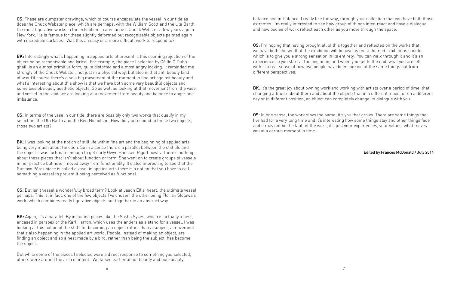OS: These are dumpster drawings, which of course encapsulate the vessel in our title as does the Chuck Webster piece, which are perhaps, with the William Scott and the Uta Barth, the most figurative works in the exhibition. I came across Chuck Webster a few years ago in New York. He is famous for these slightly deformed but recognizable objects painted again with incredible surfaces. Was this an easy or a more difficult work to respond to?

BK: Interestingly what's happening in applied arts at present is this seeming rejection of the object being recognisable and lyrical. For example, the piece I selected by Cóilín Ó Dubhghaill is an almost primitive form, quite distorted and almost angry looking. It reminded me strongly of the Chuck Webster, not just in a physical way, but also in that anti beauty kind of way. Of course there's also a big movement at the moment in fine art against beauty and what's interesting about this show is that we have both some very beautiful objects and some less obviously aesthetic objects. So as well as looking at that movement from the vase and vessel to the void, we are looking at a movement from beauty and balance to anger and imbalance.

OS: In terms of the vase in our title, there are possibly only two works that qualify in my selection, the Uta Barth and the Ben Nicholson. How did you respond to those two objects, those two artists?

**BK:** I was looking at the notion of still life within fine art and the beginning of applied arts being very much about function. So in a sense there's a parallel between the still life and the object. I was fortunate enough to get early Gwyn Hanssen Pigott bowls. There's nothing about these pieces that isn't about function or form. She went on to create groups of vessels in her practice but never moved away from functionality. It's also interesting to see that the Gustavo Pérez piece is called a vase; in applied arts there is a notion that you have to call something a vessel to prevent it being perceived as functional.

OS: But isn't vessel a wonderfully broad term? Look at Jason Ellis' heart, the ultimate vessel perhaps. This is, in fact, one of the few objects I've chosen, the other being Florian Slotawa's work, which combines really figurative objects put together in an abstract way.

BK: Again, it's a parallel. By including pieces like the Sasha Sykes, which is actually a nest, encased in perspex or the Karl Harron, which uses the antlers as a stand for a vessel, I was looking at this notion of the still life becoming an object rather than a subject, a movement that's also happening in the applied art world. People, instead of making an object, are finding an object and so a nest made by a bird, rather than being the subject, has become the object.

But while some of the pieces I selected were a direct response to something you selected, others were around the area of intent. We talked earlier about beauty and non-beauty,

balance and in-balance. I really like the way, through your collection that you have both those extremes. I'm really interested to see how group of things inter-react and have a dialogue and how bodies of work reflect each other as you move through the space.

OS: I'm hoping that having brought all of this together and reflected on the works that we have both chosen that the exhibition will behave as most themed exhibitions should, which is to give you a strong sensation in its entirety. You can walk through it and it's an experience so you start at the beginning and when you get to the end, what you are left with is a real sense of how two people have been looking at the same things but from different perspectives.

BK: It's the great joy about owning work and working with artists over a period of time, that changing attitude about them and about the object; that in a different mood, or on a different day or in different position, an object can completely change its dialogue with you.

OS: In one sense, the work stays the same; it's you that grows. There are some things that I've had for a very long time and it's interesting how some things stay and other things fade and it may not be the fault of the work, it's just your experiences, your values, what moves you at a certain moment in time.

#### Edited by Frances McDonald / July 2014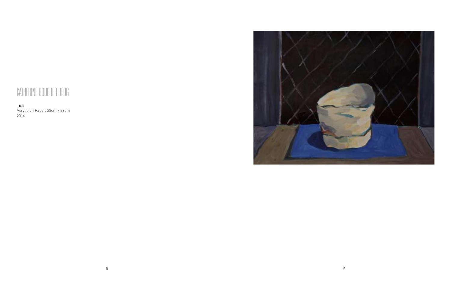## Katherine Boucher Beug

Tea Acrylic on Paper, 28cm x 38cm 2014

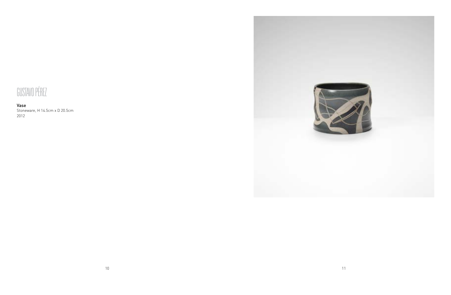# Gustavo Pérez

Vase Stoneware, H 14.5cm x D 20.5cm 2012

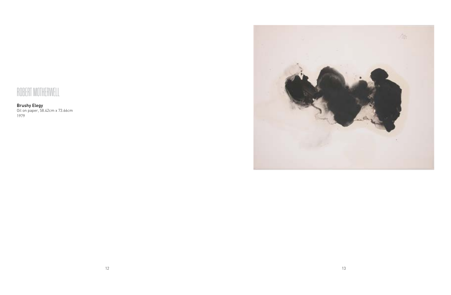# Robert Motherwell

Brushy Elegy Oil on paper, 58.42cm x 73.66cm 1979

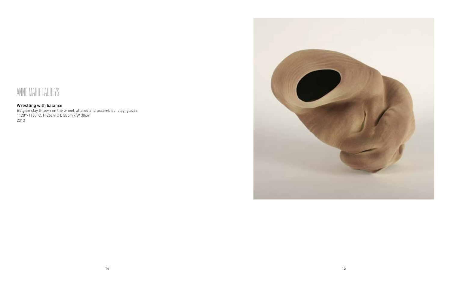### Anne Marie Laureys

#### Wrestling with balance

Belgian clay thrown on the wheel, altered and assembled, clay, glazes 1120°-1180°C, H 26cm x L 38cm x W 38cm 2013

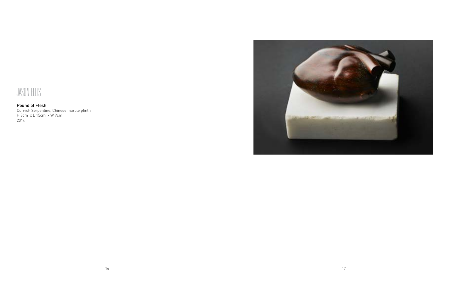

Pound of Flesh Cornish Serpentine, Chinese marble plinth H 8cm x L 15cm x W 9cm 2014

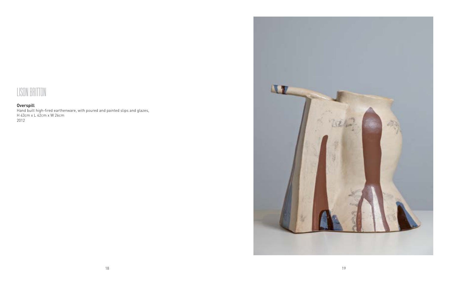

#### Overspill

Hand built high-fired earthenware, with poured and painted slips and glazes, H 43cm x L 42cm x W 26cm 2012

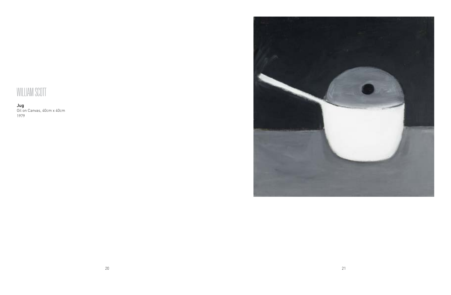# WILLIAM SCOTT

Jug Oil on Canvas, 40cm x 40cm 1979

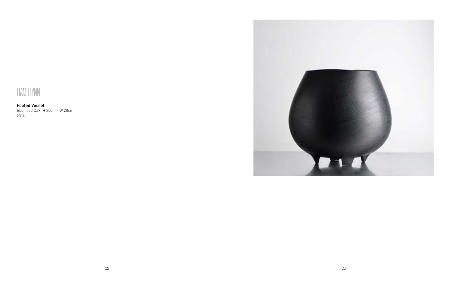

Footed Vessel Ebonised Oak, H 25cm x W 28cm 2014

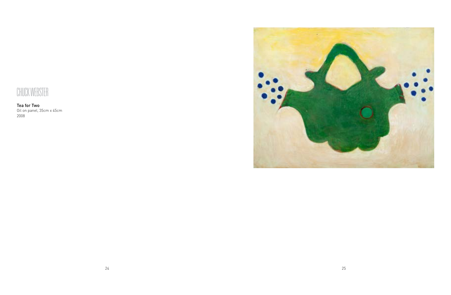## CHUCK WEBSTER

Tea for Two Oil on panel, 35cm x 45cm 2008

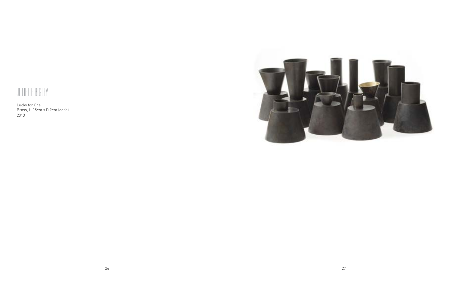

Lucky for One Brass, H 15cm x D 9cm (each) 2013

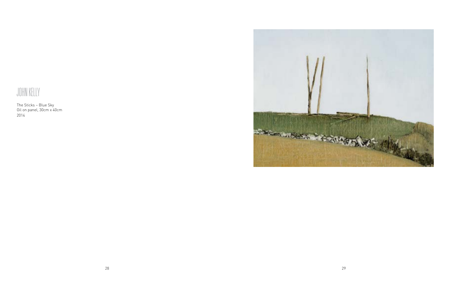# John Kelly

The Sticks – Blue Sky Oil on panel, 30cm x 40cm 2014

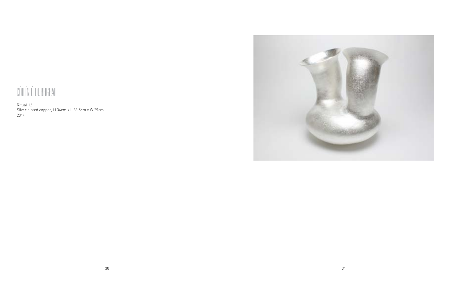# CÓILÍN Ó DUBHGHAILL

Ritual 12 Silver plated copper, H 36cm x L 33.5cm x W 29cm 2014

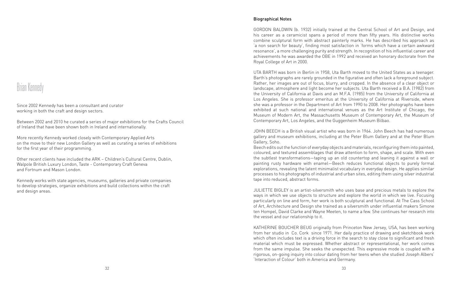### Brian Kennedy

Since 2002 Kennedy has been a consultant and curator working in both the craft and design sectors.

Between 2002 and 2010 he curated a series of major exhibitions for the Crafts Council of Ireland that have been shown both in Ireland and internationally.

More recently Kennedy worked closely with Contemporary Applied Arts on the move to their new London Gallery as well as curating a series of exhibitions for the first year of their programming.

Other recent clients have included the ARK – Children's Cultural Centre, Dublin, Walpole British Luxury London, Taste - Contemporary Craft Geneva and Fortnum and Mason London.

Kennedy works with state agencies, museums, galleries and private companies to develop strategies, organize exhibitions and build collections within the craft and design areas.

#### Biographical Notes

GORDON BALDWIN (b. 1932) initially trained at the Central School of Art and Design, and his career as a ceramicist spans a period of more than fifty years. His distinctive works combine sculptural form with abstract painterly marks. He has described his approach as 'a non search for beauty', finding most satisfaction in 'forms which have a certain awkward resonance', a more challenging purity and strength. In recognition of his influential career and achievements he was awarded the OBE in 1992 and received an honorary doctorate from the Royal College of Art in 2000.

UTA BARTH was born in Berlin in 1958, Uta Barth moved to the United States as a teenager. Barth's photographs are rarely grounded in the figurative and often lack a foreground subject. Rather, her images are out of focus, blurry, and cropped. In the absence of a clear object or landscape, atmosphere and light become her subjects. Uta Barth received a B.A. (1982) from the University of California at Davis and an M.F.A. (1985) from the University of California at Los Angeles. She is professor emeritus at the University of California at Riverside, where she was a professor in the Department of Art from 1990 to 2008. Her photographs have been exhibited at such national and international venues as the Art Institute of Chicago, the Museum of Modern Art, the Massachusetts Museum of Contemporary Art, the Museum of Contemporary Art, Los Angeles, and the Guggenheim Museum Bilbao.

JOHN BEECH is a British visual artist who was born in 1964. John Beech has had numerous gallery and museum exhibitions, including at the Peter Blum Gallery and at the Peter Blum Gallery, Soho.

Beech edits out the function of everyday objects and materials, reconfiguring them into painted, coloured, and textured assemblages that draw attention to form, shape, and scale. With even the subtlest transformations—taping up an old countertop and leaning it against a wall or painting rusty hardware with enamel—Beech reduces functional objects to purely formal explorations, revealing the latent minimalist vocabulary in everyday design. He applies similar processes to his photographs of industrial and urban sites, editing them using silver industrial tape into reduced, abstract forms.

JULIETTE BIGLEY is an artist-silversmith who uses base and precious metals to explore the ways in which we use objects to structure and explore the world in which we live. Focusing particularly on line and form, her work is both sculptural and functional. At The Cass School of Art, Architecture and Design she trained as a silversmith under influential makers Simone ten Hompel, David Clarke and Wayne Meeten, to name a few. She continues her research into the vessel and our relationship to it.

KATHERINE BOUCHER BEUG originally from Princeton New Jersey, USA, has been working from her studio in Co. Cork since 1971. Her daily practice of drawing and sketchbook work which often includes text is a driving force in the search to stay close to significant and fresh material which must be expressed. Whether abstract or representational, her work comes from the same impulse. She seeks the unexpected. This expressive mode is coupled with a rigorous, on-going inquiry into colour dating from her teens when she studied Joseph Albers' 'Interaction of Colour' both in America and Germany.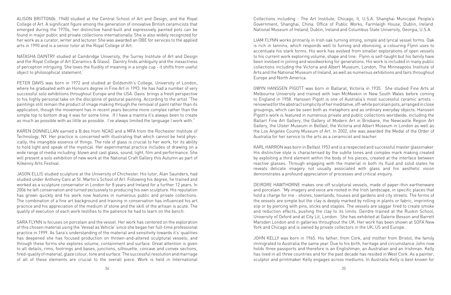ALISON BRITTON(b. 1948) studied at the Central School of Art and Design, and the Royal College of Art. A significant figure among the generation of innovative British ceramicists that emerged during the 1970s, her distinctive hand-built and expressively painted pots can be found in major public and private collections internationally. She is also widely recognized for her work as a curator, writer and lecturer. She was awarded an OBE for services to the applied arts in 1990 and is a senior tutor at the Royal College of Art.

NATASHA DAINTRY studied at Cambridge University, the Surrey Institute of Art and Design and the Royal College of Art (Ceramics & Glass). Daintry finds ambiguity and the inexactness of perception intriguing. She loves the fluidity of meaning in a single cup - it shifts from useful object to philosophical statement.'

PETER DAVIS was born in 1972 and studied at Goldsmith's College, University of London, where he graduated with an Honours degree in Fine Art in 1993. He has had a number of very successful solo exhibitions throughout Europe and the USA. Davis' brings a fresh perspective to his highly personal take on the discipline of gestural painting. According to the artist "The paintings still remain the product of image making through the removal of paint rather than its application, though the movement has in recent years become more complex rather than the simple top to bottom drag it was for some time. If I have a mantra it's always been to create as much as possible with as little as possible. I've always limited the language I work with."

KAREN DONNELLAN earned a B.des from NCAD and a MFA from the Rochester Institute of Technology, NY. Her practice is concerned with illustrating that which cannot be held physically; the intangible essence of things. The role of glass is crucial to her work, for its ability to hold light and speak of the mystical. Her experimental practice includes of drawing on a wide range of media including: blown and cast glass, sound, light, film and performance. She will present a solo exhibition of new work at the National Craft Gallery this Autumn as part of Kilkenny Arts Festival.

JASON ELLIS studied sculpture at the University of Chichester. His tutor, Alan Saunders, had studied under Anthony Caro at St. Martin's School of Art. Following his degree, he trained and worked as a sculpture conservator in London for 8 years and Ireland for a further 12 years. In 2006 he left conservation and turned exclusively to producing his own sculpture. His reputation has grown quickly and his work now features in numerous public and private collections. The combination of a fine art background and training in conservation has influenced his art practice and his appreciation of the medium of stone and the skill of the artisan is acute. The quality of execution of each work testifies to the patience he had to learn on the bench.

SARA FLYNN is focuses on porcelain and the vessel. Her work has centered on the exploration of this chosen material using the 'Vessel as Vehicle' since she began her full-time professional practice in 1999. As Sara's understanding of the material and sensitivity towards it's' qualities has deepened she has focused production on thrown-and-altered sculptural vessels; and through these forms she explores volume, containment and surface. Great attention is given to all details; rims, footrings and bases, junctions, silhouette, concave and convex sections, fired-quality of material, glaze colour, tone and surface. The successful resolution and marriage of all of these elements are crucial to the overall piece. Work is held in International Collections including : The Art Institute, Chicago, Il, U.S.A. Shanghai Municipal People's Government, Shanghai, China. Office of Public Works, Farmleigh House, Dublin, Ireland. National Museum of Ireland, Dublin, Ireland and Columbus State University, Georgia, U.S.A.

LIAM FLYNN works primarily in Irish oak turning strong, simple and lyrical vessel forms. Oak is rich in tannins, which responds well to fuming and ebonising, a colouring Flynn uses to accentuate his stark forms. His work has evolved from smaller explorations of open vessels to his current work exploring volume, shape and line. Flynn is self-taught but his family have been involved in joining and woodworking for generations. His work is included in many public collections including the Victoria and Albert Museum, London, The Minneapolis Institute of Arts and the National Museum of Ireland, as well as numerous exhibitions and fairs throughout Europe and North America.

GWYN HANSSEN PIGOTT was born in Ballarat, Victoria in 1935. She studied Fine Arts at Melbourne University and trained with Ivan McMeekin in New South Wales before coming to England in 1958. Hanssen Pigott is one of Australia's most successful ceramic artists renowned for the abstract simplicity of her meditative, off-white porcelain pots, arranged in close groupings, which can be seen both as metaphors and as ordinary everyday objects. Hanssen Pigott's work is featured in numerous private and public collections worldwide, including the Ballart Fine Art Gallery, the Gallery of Modern Art in Brisbane, the Newcastle Region Art Gallery, the Ulster Museum in Belfast, the Victoria and Albert Museum in London as well as the Los Angeles County Museum of Art. In 2002, she was awarded the Medal of the Order of Australia for her service to the arts as a ceramicist and teacher.

KARL HARRON was born in Belfast 1953 and is a respected and successful master glassmaker. His distinctive style is characterised by the subtle tones and complex mark making created by exploiting a third element within the body of his pieces, created at the interface between reactive glasses. Through engaging with the material in both its fluid and solid states he reveals delicate imagery not usually associated with glass and his aesthetic vision demonstrates a profound appreciation of processes and critical enquiry.

DEIRDRE HAWTHORNE makes one-off sculptural vessels, made of paper-thin earthenware and porcelain. "My imagery and voice are rooted in the Irish landscape, in specific places that hold a charge for me - shores, townlands, houses and gardens and city streets. The forms of the vessels are simple but the clay is deeply marked by rolling in plants or fabric, imprinting slip or by piercing with pins, sticks and staples. The vessels are saggar fired to create smoke and reduction effects, pushing the clay to its limits. Deirdre trained at the Ruskin School, University of Oxford and at City Lit, London. She has exhibited at Galerie Besson and Barrett Marsden London and in galleries throughout the UK. Her work has been shown at SOFA New York and Chicago and is owned by private collectors in the UK, US and Europe.

JOHN KELLY was born in 1965. His father, from Cork, and mother from Bristol, the family immigrated to Australia the same year. Due to his birth, heritage and circumstance John now holds three passports and therefore is an Englishman, an Australian and an Irishman. Kelly has lived in all three countries and for the past decade has resided in West Cork. As a painter, sculptor and printmaker Kelly engages across mediums. In Australia Kelly is best known for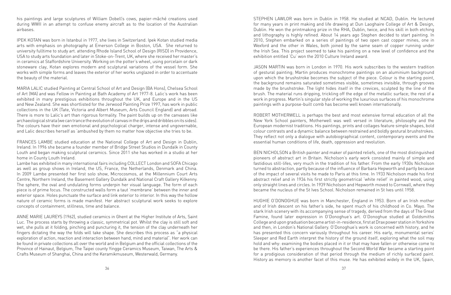his paintings and large sculptures of William Dobell's cows, papier-mâché creations used during WWII in an attempt to confuse enemy aircraft as to the location of the Australian airbases.

IPEK KOTAN was born in Istanbul in 1977, she lives in Switzerland. Ipek Kotan studied media arts with emphasis on photography at Emerson College in Boston, USA. She returned to university fulltime to study art. attending Rhode Island School of Design (RISD) in Providence, USA to study arts foundation and later in Stoke-on-Trent, UK, where she received her master's in ceramics at Staffordshire University. Working on the potter's wheel, using porcelain or dark stoneware clay, Kotan explores modern and sculptural variations of the vessel form. She works with simple forms and leaves the exterior of her works unglazed in order to accentuate the beauty of the material.

MARIA LALIC studied Painting at Central School of Art and Design (BA Hons), Chelsea School of Art (MA) and was Fellow in Painting at Bath Academy of Art 1977-8. Lalic's work has been exhibited in many prestigious exhibitions throughout the UK, and Europe and in the US and New Zealand. She was shortlisted for the Jerwood Painting Prize 1997, has work in public collections in the UK (Tate, Victoria and Albert Museum, Arts Council England) and abroad. There is more to Lalic's art than rigorous formality. The paint builds up on the canvases like archaeological strata (we can trance the evolution of canvas in the drips and dribbles on its sides). The colours have their own emotional and psychological charger, intense and ungovernable, and Lalic describes herself as 'ambushed by them no matter how objective she tries to be.

FRANCES LAMBE studied education at the National College of Art and Design in Dublin, Ireland. In 1996 she became a founder member of Bridge Street Studios in Dundalk in County Louth and began making sculptural ceramics. Since 2011 she has worked in a studio at her home in County Louth Ireland.

Lambe has exhibited in many international fairs including COLLECT London and SOFA Chicago as well as group shows in Ireland, the US, France, the Netherlands, Denmark and China. In 2009 Lambe presented her first solo show, Microcosmos, at the Millennium Court Arts Centre, Northern Ireland, the Basement Gallery Dundalk and National Craft Gallery Kilkenny. The sphere, the oval and undulating forms underpin her visual language. The form of each piece is of prime focus. The constructed walls form a taut 'membrane' between the inner and exterior space. Holes punctuate the surface and link exterior to interior. In this way the hollow nature of ceramic forms is made manifest. Her abstract sculptural work seeks to explore concepts of containment, stillness, time and balance.

ANNE MARIE LAUREYS (1962), studied ceramics in Ghent at the Higher Institute of Arts, Saint Luc. The process starts by throwing a classic, symmetrical pot. Whilst the clay is still soft and wet, she pulls at it folding, pinching and puncturing it, the tension of the clay underneath her fingers dictating the way the folds will take shape. She describes this process as "a physical exploration of action, reaction and interaction between hand, mind and material". Her work can be found in private collections all over the world and in Belgium and the official collections of the Province of Hainaut, Belgium, The Taipei county Yingge Ceramics Museum, Taiwan, The Arts & Crafts Museum of Shanghai, China and the Keramikmuseum, Westerwald, Germany.

STEPHEN LAWLOR was born in Dublin in 1958. He studied at NCAD, Dublin. He lectured for many years in print making and life drawing at Dun Laoghaire College of Art & Design, Dublin. He won the printmaking prize in the RHA, Dublin, twice, and his skill in both etching and lithography is highly refined. About 14 years ago Stephen decided to start painting. In 2010, Stephen embarked on a series of paintings of two open cast copper mines, one in Wexford and the other in Wales, both joined by the same seam of copper running under the Irish Sea. This project seemed to take his painting on a new level of confidence and the exhibition entitled 'Cu' won the 2010 Culture Ireland award.

JASON MARTIN was born in London in 1970. His work subscribes to the western tradition of gestural painting; Martin produces monochrome paintings on an aluminium background upon which the brushstroke becomes the subject of the piece. Colour is the starting point, the background remains saturated sometimes visible, sometimes invisible, through grooves made by the brushstroke. The light hides itself in the crevices, sculpted by the line of the brush. The material runs dripping, trickling off the edge of the metallic surface; the rest of a work in progress. Martin's singular style of working the luxurious surfaces of his monochrome paintings with a purpose-built comb has become well known internationally.

ROBERT MOTHERWELL is perhaps the best and most extensive formal education of all the New York School painters, Motherwell was well versed in literature, philosophy and the European modernist traditions. His paintings, prints and collages feature simple shapes, bold colour contrasts and a dynamic balance between restrained and boldly gestural brushstrokes. They reflect not only a dialogue with autobiographical content, contemporary events and the essential human conditions of life, death, oppression and revolution.

BEN NICHOLSON a British painter and maker of painted reliefs, one of the most distinguished pioneers of abstract art in Britain. Nicholson's early work consisted mainly of simple and fastidious still-lifes, very much in the tradition of his father. From the early 1930s Nicholson turned to abstraction, partly because of the influence of Barbara Hepworth and partly because of the impact of several visits he made to Paris at this time. In 1933 Nicholson made his first abstract relief and in 1934 his first strictly geometrical 'white relief' in painted wood, using only straight lines and circles. In 1939 Nicholson and Hepworth moved to Cornwall, where they became the nucleus of the St Ives School. Nicholson remained in St Ives until 1958.

HUGHIE O'DONOGHUE was born in Manchester, England in 1953. Born of an Irish mother and of Irish descent on his father's side, he spent much of his childhood in Co. Mayo. The stark Irish scenery with its accompanying sense of tragedy, derived from the days of The Great Famine, found later expression in O'Donoghue's art. O'Donoghue studied at Goldsmiths College and upon graduation became artist-in-residence, first at Drax power station in Yorkshire and then, in London's National Gallery. O'Donoghue's work is concerned with history, and he has presented this concern variously throughout his career. His early, monumental series' Sleeper and Red Earth interpret the history of the ground itself, exploring what the soil may hold and why: examining the bodies placed in it or that may have fallen or otherwise come to be there. His father's experiences throughout the Second World War became a starting point for a prodigious consideration of that period through the medium of richly surfaced paint. History as memory is another facet of this muse. He has exhibited widely in the UK, Spain,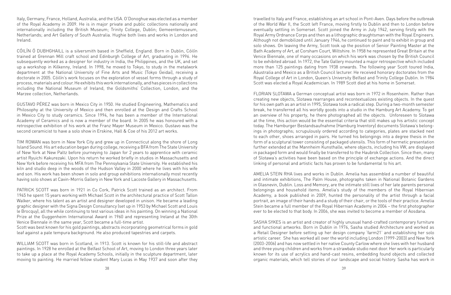Italy, Germany, France, Holland, Australia, and the USA. O'Donoghue was elected as a member of the Royal Academy in 2009. He is in major private and public collections nationally and internationally including the British Museum; Trinity College, Dublin; Gemeentemuseum, Netherlands; and Art Gallery of South Australia. Hughie both lives and works in London and Ireland.

CÓILÍN Ó DUBHGHAILL is a silversmith based in Sheffield, England. Born in Dublin, Cóilín trained at Grennan Mill craft school and Edinburgh College of Art, graduating in 1996. He subsequently worked as a designer for industry in India, the Philippines, and the UK, and set up a workshop in Kilkenny, Ireland. In 1998, he moved to Tokyo, to study in the metalwork department at the National University of Fine Arts and Music (Tokyo Geidai), receiving a doctorate in 2005. Cóilín's work focuses on the exploration of vessel forms through a study of process, materials and colour. He exhibits this work internationally, and has pieces in collections including the National Museum of Ireland, the Goldsmiths' Collection, London, and the Marzee collection, Netherlands.

GUSTAVO PÉREZ was born in Mexico City in 1950. He studied Engineering, Mathematics and Philosophy at the University of Mexico and then enrolled at the Design and Crafts School in Mexico City to study ceramics. Since 1994, he has been a member of the International Academy of Ceramics and is now a member of the board. In 2005 he was honoured with a retrospective exhibition of his work at the Franz Mayer Museum in Mexico. Gustavo was the second ceramicist to have a solo show in Erskine, Hall & Coe of his 2012 art works.

TIM ROWAN was born in New York City and grew up in Connecticut along the shore of Long Island Sound. His art education began during college, receiving a BFA from The State University of New York at New Paltz before journeying to Japan for 2 years to apprentice with ceramic artist Ryuichi Kakurezaki. Upon his return he worked briefly in studios in Massachusetts and New York before receiving his MFA from The Pennsylvania State University. He established his kiln and studio deep in the woods of the Hudson Valley in 2000 where he lives with his wife and son. His work has been shown in solo and group exhibitions internationally most recently having solo shows at Cavin-Morris Gallery in New York and Lacoste Gallery in Massachusetts.

PATRICK SCOTT was born in 1921 in Co Cork, Patrick Scott trained as an architect. From 1945 he spent 15 years working with Michael Scott in the architectural practice of Scott Tallon Walker, where his talent as an artist and designer developed in unison. He became a leading graphic designer with the Signa Design Consultancy (set up in 1953 by Michael Scott and Louis le Brocquy), all the while continuing to test various ideas in his painting. On winning a National Prize at the Guggenheim International Award in 1960 and representing Ireland at the 30th Venice Biennale in the same year, Scott became a full-time artist.

Scott was best known for his gold paintings, abstracts incorporating geometrical forms in gold leaf against a pale tempura background. He also produced tapestries and carpets.

WILLIAM SCOTT was born in Scotland, in 1913. Scott is known for his still-life and abstract paintings. In 1928 he enrolled at the Belfast School of Art, moving to London three years later to take up a place at the Royal Academy Schools, initially in the sculpture department, later moving to painting. He married fellow student Mary Lucas in May 1937 and soon after they travelled to Italy and France, establishing an art school in Pont-Aven. Days before the outbreak of the World War II, the Scott left France, moving firstly to Dublin and then to London before eventually settling in Somerset. Scott joined the Army in July 1942, serving firstly with the Royal Army Ordnance Corps and then as a lithographic draughtsman with the Royal Engineers. Although not demobilized until January 1946, he continued to paint and to exhibit in group and solo shows. On leaving the Army, Scott took up the position of Senior Painting Master at the Bath Academy of Art, at Corsham Court, Wiltshire. In 1958 he represented Great Britain at the Venice Biennale, one of many occasions on which his work was chosen by the British Council to be exhibited abroad. In 1972, the Tate Gallery mounted a major retrospective which included more than 125 paintings dating from 1938 onwards. The following year Scott toured India, Aáustralia and Mexico as a British Council lecturer. He received honorary doctorates from the Royal College of Art in London, Queen's University Belfast and Trinity College Dublin. In 1984 Scott was elected a Royal Academician. In 1989 Scott died at his home in Somerset.

FLORIAN SLOTAWA a German conceptual artist was born in 1972 in Rosenheim. Rather than creating new objects, Slotawa rearranges and recontextualizes existing objects. In the quest for his own path as an artist in 1995, Slotawa took a radical step. During a two-month semester break, he transferred all his worldly goods into a studio in the Hamburg Art Academy. To get an overview of his property, he there photographed all the objects. Unforeseen to Slotawa at the time, this action would be the essential criteria that still makes up his artistic concept today. The Hamburger Bestandsaufnahme (Hamburg Inventory) documents Slotawa's belongings in photographs; scrupulously ordered according to categories, plates are stacked next to each other, shoes arranged in pairs. He turned his belongings into a degree thesis in the form of a sculptural tower consisting of packaged utensils. This form of hermetic presentation further extended at the Mannheim Kunsthalle, where objects, including his VW, are displayed in packaged form and would finally be transferred to the Haubrok Collection. Since then, many of Slotawa's activities have been based on the principle of exchange actions. And the direct linking of personal and artistic facts has proven to be fundamental to his art.

AMELIA STEIN RHA lives and works in Dublin. Amelia has assembled a number of beautiful and intimate exhibitions, The Palm House, photographs taken in National Botanic Gardens in Glasnevin, Dublin. Loss and Memory, are the intimate still lives of her late parents personal belongings and household items. Amelia's study of the members of the Royal Hibernian Academy, a book published in 2009, hunted the personality of the artist through a facial portrait, an image of their hands and a study of their chair, or the tools of their practice. Amelia Stein became a full member of the Royal Hibernian Academy in 2004 – the first photographer ever to be elected to that body. In 2006, she was invited to become a member of Aosdana.

SASHA SYKES is an artist and creator of highly unusual hand-crafted contemporary furniture and functional artworks. Born in Dublin in 1976, Sasha studied Architecture and worked as a Retail Designer before setting up her design company 'farm21' and establishing her solo artistic career. She has worked all over the world including London (1999-2003) and New York (2003-2006) and has now settled in her native County Carlow where she lives with her husband and three young children and works from a strawbale studio next door. Her work is particularly known for its use of acrylics and hand-cast resins, embedding found objects and collected organic materials, which tell stories of our landscape and social history. Sasha has work in